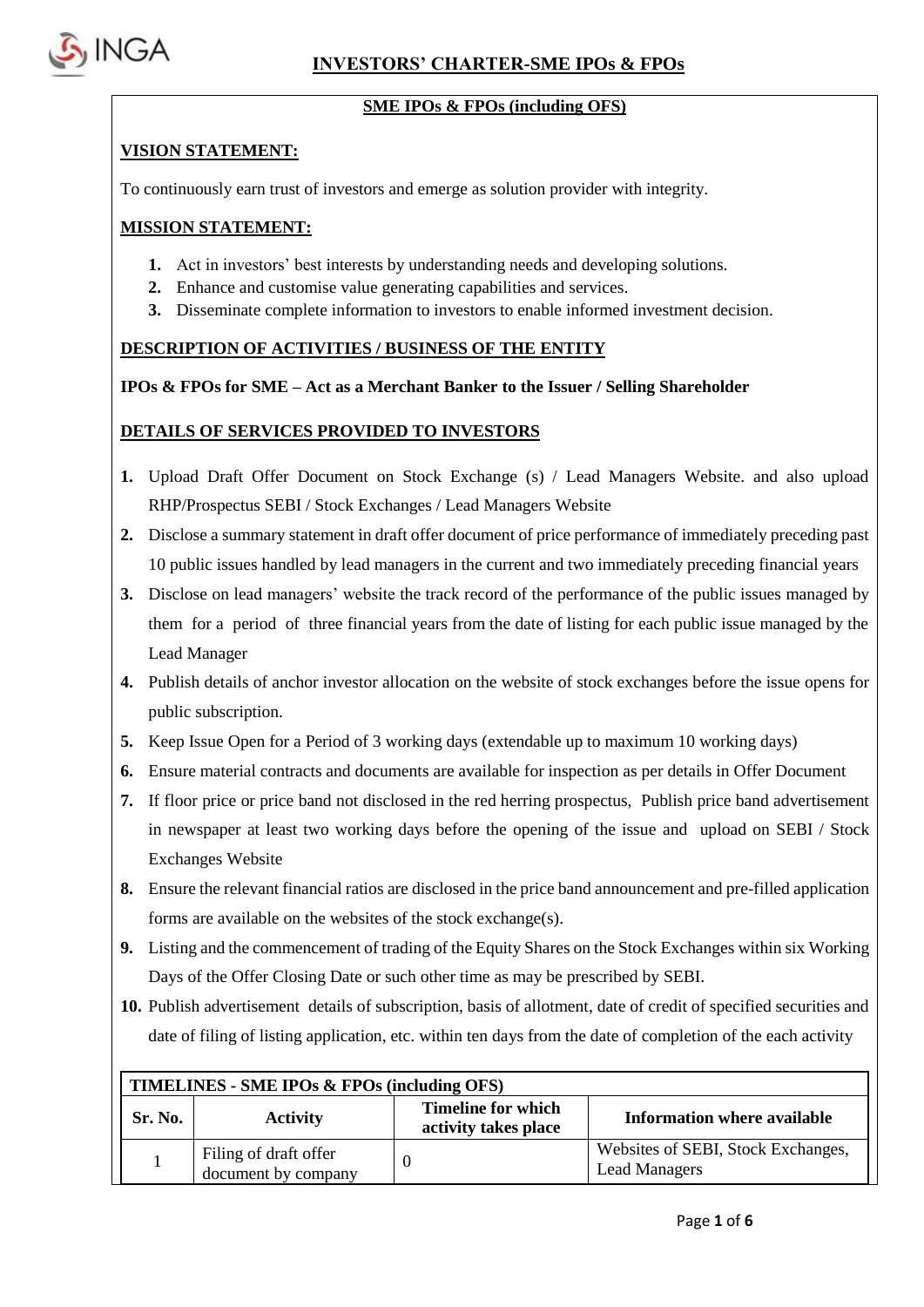

### **SME IPOs & FPOs (including OFS)**

### **VISION STATEMENT:**

To continuously earn trust of investors and emerge as solution provider with integrity.

### **MISSION STATEMENT:**

- **1.** Act in investors' best interests by understanding needs and developing solutions.
- **2.** Enhance and customise value generating capabilities and services.
- **3.** Disseminate complete information to investors to enable informed investment decision.

### **DESCRIPTION OF ACTIVITIES / BUSINESS OF THE ENTITY**

### **IPOs & FPOs for SME – Act as a Merchant Banker to the Issuer / Selling Shareholder**

### **DETAILS OF SERVICES PROVIDED TO INVESTORS**

- **1.** Upload Draft Offer Document on Stock Exchange (s) / Lead Managers Website. and also upload RHP/Prospectus SEBI / Stock Exchanges / Lead Managers Website
- **2.** Disclose a summary statement in draft offer document of price performance of immediately preceding past 10 public issues handled by lead managers in the current and two immediately preceding financial years
- **3.** Disclose on lead managers' website the track record of the performance of the public issues managed by them for a period of three financial years from the date of listing for each public issue managed by the Lead Manager
- **4.** Publish details of anchor investor allocation on the website of stock exchanges before the issue opens for public subscription.
- **5.** Keep Issue Open for a Period of 3 working days (extendable up to maximum 10 working days)
- **6.** Ensure material contracts and documents are available for inspection as per details in Offer Document
- **7.** If floor price or price band not disclosed in the red herring prospectus, Publish price band advertisement in newspaper at least two working days before the opening of the issue and upload on SEBI / Stock Exchanges Website
- **8.** Ensure the relevant financial ratios are disclosed in the price band announcement and pre-filled application forms are available on the websites of the stock exchange(s).
- **9.** Listing and the commencement of trading of the Equity Shares on the Stock Exchanges within six Working Days of the Offer Closing Date or such other time as may be prescribed by SEBI.
- **10.** Publish advertisement details of subscription, basis of allotment, date of credit of specified securities and date of filing of listing application, etc. within ten days from the date of completion of the each activity

| TIMELINES - SME IPOs & FPOs (including OFS) |                                              |                                                   |                                                            |  |  |  |  |
|---------------------------------------------|----------------------------------------------|---------------------------------------------------|------------------------------------------------------------|--|--|--|--|
| Sr. No.                                     | <b>Activity</b>                              | <b>Timeline for which</b><br>activity takes place | <b>Information where available</b>                         |  |  |  |  |
|                                             | Filing of draft offer<br>document by company | $\left($                                          | Websites of SEBI, Stock Exchanges,<br><b>Lead Managers</b> |  |  |  |  |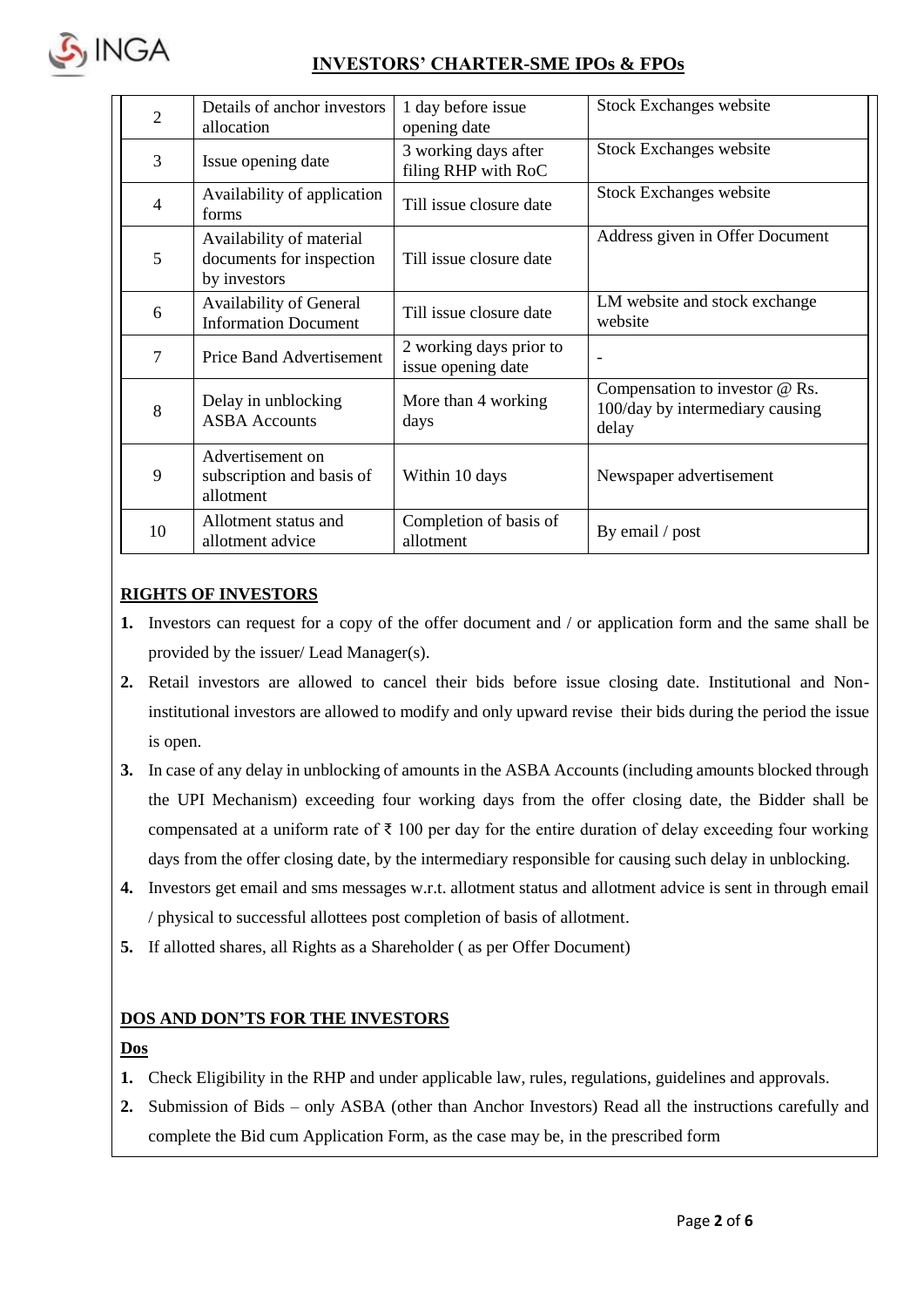

| $\overline{2}$ | Details of anchor investors<br>allocation                            | 1 day before issue<br>opening date            | <b>Stock Exchanges website</b>                                             |
|----------------|----------------------------------------------------------------------|-----------------------------------------------|----------------------------------------------------------------------------|
| 3              | Issue opening date                                                   | 3 working days after<br>filing RHP with RoC   | <b>Stock Exchanges website</b>                                             |
| 4              | Availability of application<br>forms                                 | Till issue closure date                       | <b>Stock Exchanges website</b>                                             |
| 5              | Availability of material<br>documents for inspection<br>by investors | Till issue closure date                       | Address given in Offer Document                                            |
| 6              | Availability of General<br><b>Information Document</b>               | Till issue closure date                       | LM website and stock exchange<br>website                                   |
| $\tau$         | <b>Price Band Advertisement</b>                                      | 2 working days prior to<br>issue opening date |                                                                            |
| 8              | Delay in unblocking<br><b>ASBA</b> Accounts                          | More than 4 working<br>days                   | Compensation to investor @ Rs.<br>100/day by intermediary causing<br>delay |
| 9              | Advertisement on<br>subscription and basis of<br>allotment           | Within 10 days                                | Newspaper advertisement                                                    |
| 10             | Allotment status and<br>allotment advice                             | Completion of basis of<br>allotment           | By email / post                                                            |

## **RIGHTS OF INVESTORS**

- **1.** Investors can request for a copy of the offer document and / or application form and the same shall be provided by the issuer/ Lead Manager(s).
- **2.** Retail investors are allowed to cancel their bids before issue closing date. Institutional and Noninstitutional investors are allowed to modify and only upward revise their bids during the period the issue is open.
- **3.** In case of any delay in unblocking of amounts in the ASBA Accounts (including amounts blocked through the UPI Mechanism) exceeding four working days from the offer closing date, the Bidder shall be compensated at a uniform rate of  $\bar{\tau}$  100 per day for the entire duration of delay exceeding four working days from the offer closing date, by the intermediary responsible for causing such delay in unblocking.
- **4.** Investors get email and sms messages w.r.t. allotment status and allotment advice is sent in through email / physical to successful allottees post completion of basis of allotment.
- **5.** If allotted shares, all Rights as a Shareholder ( as per Offer Document)

### **DOS AND DON'TS FOR THE INVESTORS**

#### **Dos**

- **1.** Check Eligibility in the RHP and under applicable law, rules, regulations, guidelines and approvals.
- **2.** Submission of Bids only ASBA (other than Anchor Investors) Read all the instructions carefully and complete the Bid cum Application Form, as the case may be, in the prescribed form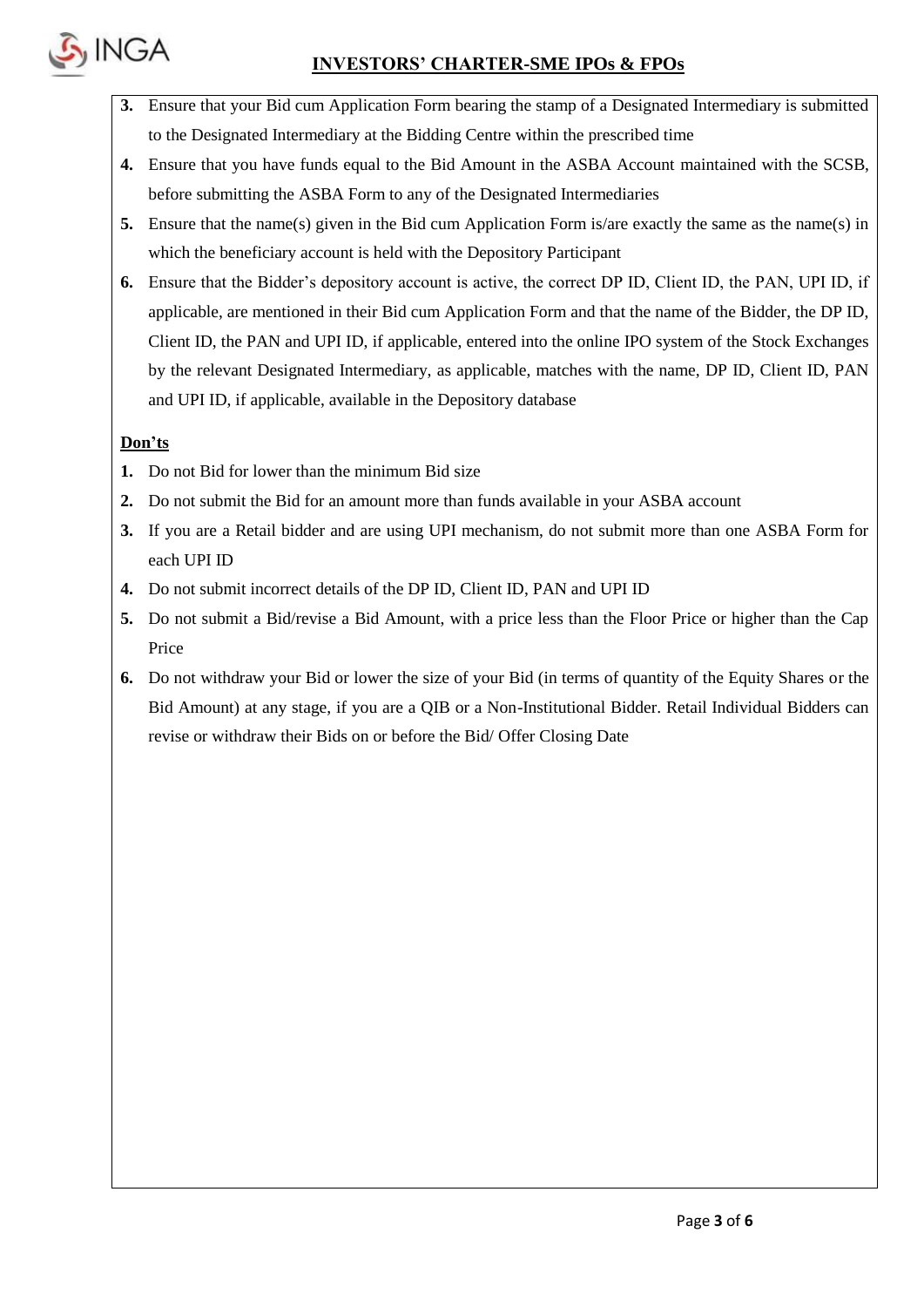

- **3.** Ensure that your Bid cum Application Form bearing the stamp of a Designated Intermediary is submitted to the Designated Intermediary at the Bidding Centre within the prescribed time
- **4.** Ensure that you have funds equal to the Bid Amount in the ASBA Account maintained with the SCSB, before submitting the ASBA Form to any of the Designated Intermediaries
- **5.** Ensure that the name(s) given in the Bid cum Application Form is/are exactly the same as the name(s) in which the beneficiary account is held with the Depository Participant
- **6.** Ensure that the Bidder's depository account is active, the correct DP ID, Client ID, the PAN, UPI ID, if applicable, are mentioned in their Bid cum Application Form and that the name of the Bidder, the DP ID, Client ID, the PAN and UPI ID, if applicable, entered into the online IPO system of the Stock Exchanges by the relevant Designated Intermediary, as applicable, matches with the name, DP ID, Client ID, PAN and UPI ID, if applicable, available in the Depository database

## **Don'ts**

- **1.** Do not Bid for lower than the minimum Bid size
- **2.** Do not submit the Bid for an amount more than funds available in your ASBA account
- **3.** If you are a Retail bidder and are using UPI mechanism, do not submit more than one ASBA Form for each UPI ID
- **4.** Do not submit incorrect details of the DP ID, Client ID, PAN and UPI ID
- **5.** Do not submit a Bid/revise a Bid Amount, with a price less than the Floor Price or higher than the Cap Price
- **6.** Do not withdraw your Bid or lower the size of your Bid (in terms of quantity of the Equity Shares or the Bid Amount) at any stage, if you are a QIB or a Non-Institutional Bidder. Retail Individual Bidders can revise or withdraw their Bids on or before the Bid/ Offer Closing Date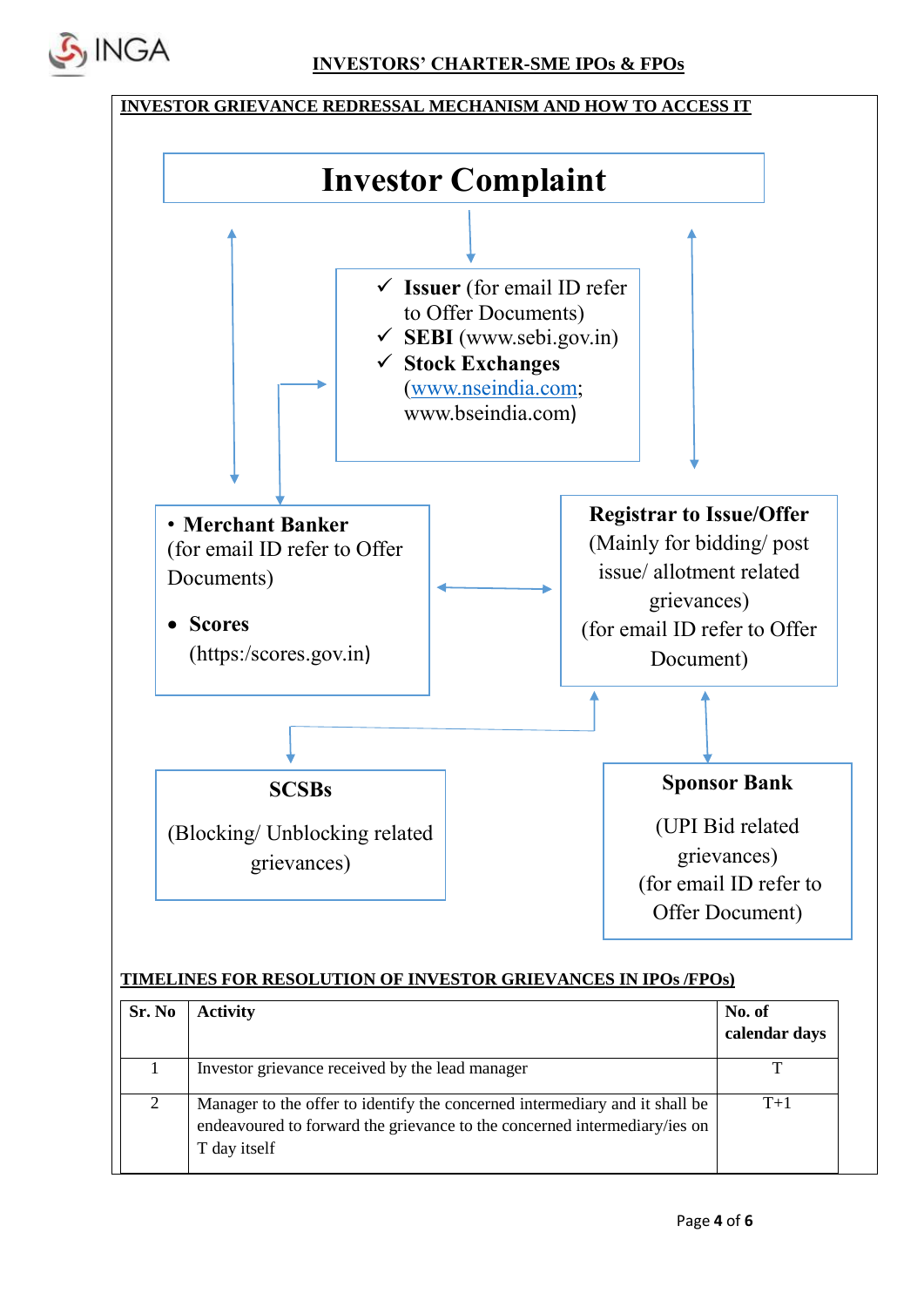



| 51. IVO | ACUVILY                                                                                                                                                                  | <b>NO. OI</b><br>calendar days |
|---------|--------------------------------------------------------------------------------------------------------------------------------------------------------------------------|--------------------------------|
|         | Investor grievance received by the lead manager                                                                                                                          |                                |
|         | Manager to the offer to identify the concerned intermediary and it shall be<br>endeavoured to forward the grievance to the concerned intermediary/ies on<br>T day itself | $T+1$                          |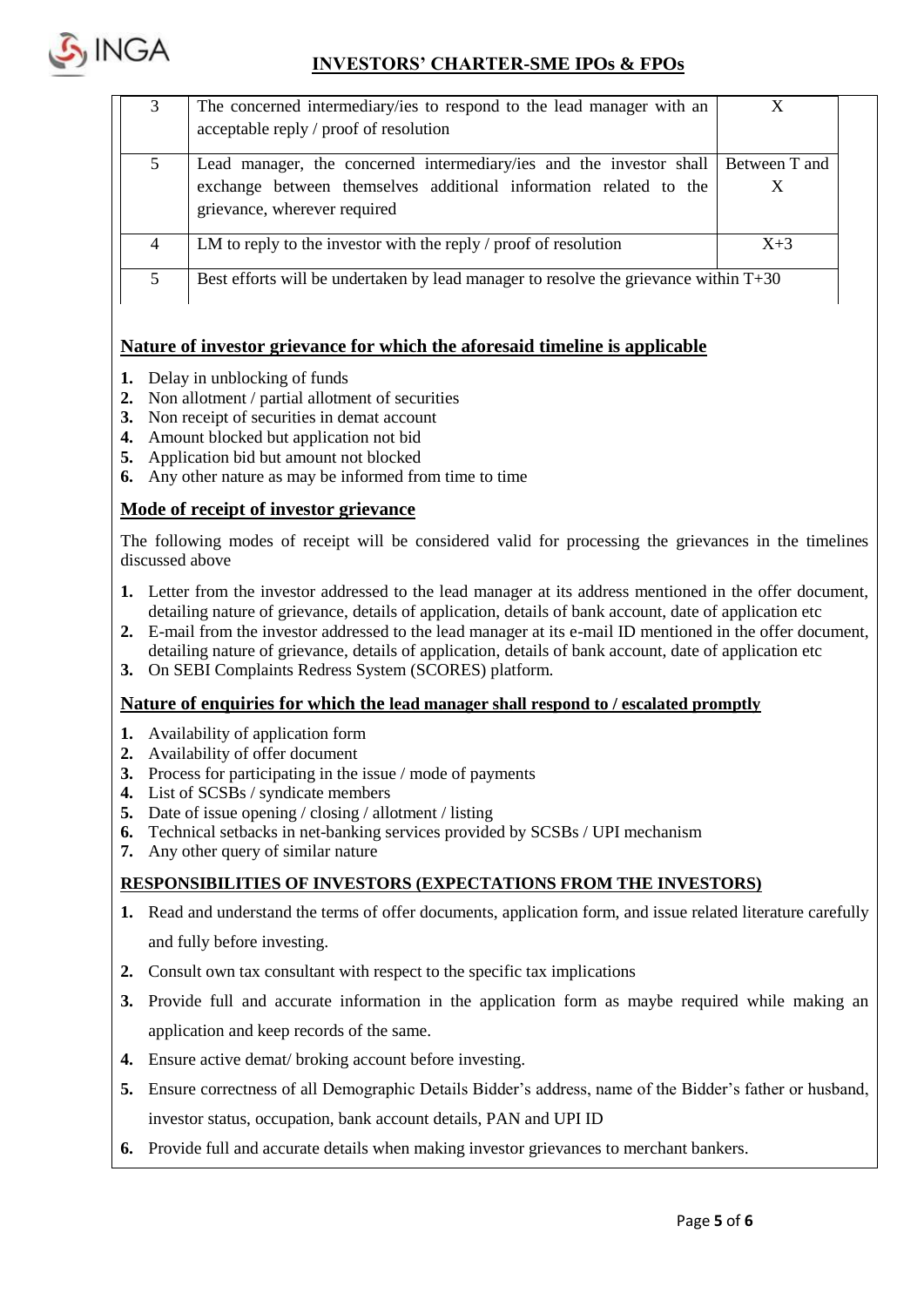

|   | The concerned intermediary/ies to respond to the lead manager with an<br>acceptable reply / proof of resolution                                                          | X             |  |
|---|--------------------------------------------------------------------------------------------------------------------------------------------------------------------------|---------------|--|
| 5 | Lead manager, the concerned intermediary/ies and the investor shall<br>exchange between themselves additional information related to the<br>grievance, wherever required | Between T and |  |
|   | LM to reply to the investor with the reply $\prime$ proof of resolution                                                                                                  | $X+3$         |  |
| 5 | Best efforts will be undertaken by lead manager to resolve the grievance within $T+30$                                                                                   |               |  |

## **Nature of investor grievance for which the aforesaid timeline is applicable**

- **1.** Delay in unblocking of funds
- **2.** Non allotment / partial allotment of securities
- **3.** Non receipt of securities in demat account
- **4.** Amount blocked but application not bid
- **5.** Application bid but amount not blocked
- **6.** Any other nature as may be informed from time to time

## **Mode of receipt of investor grievance**

The following modes of receipt will be considered valid for processing the grievances in the timelines discussed above

- **1.** Letter from the investor addressed to the lead manager at its address mentioned in the offer document, detailing nature of grievance, details of application, details of bank account, date of application etc
- **2.** E-mail from the investor addressed to the lead manager at its e-mail ID mentioned in the offer document, detailing nature of grievance, details of application, details of bank account, date of application etc
- **3.** On SEBI Complaints Redress System (SCORES) platform.

### **Nature of enquiries for which the lead manager shall respond to / escalated promptly**

- **1.** Availability of application form
- **2.** Availability of offer document
- **3.** Process for participating in the issue / mode of payments
- **4.** List of SCSBs / syndicate members
- **5.** Date of issue opening / closing / allotment / listing
- **6.** Technical setbacks in net-banking services provided by SCSBs / UPI mechanism
- **7.** Any other query of similar nature

### **RESPONSIBILITIES OF INVESTORS (EXPECTATIONS FROM THE INVESTORS)**

- **1.** Read and understand the terms of offer documents, application form, and issue related literature carefully and fully before investing.
- **2.** Consult own tax consultant with respect to the specific tax implications
- **3.** Provide full and accurate information in the application form as maybe required while making an application and keep records of the same.
- **4.** Ensure active demat/ broking account before investing.
- **5.** Ensure correctness of all Demographic Details Bidder's address, name of the Bidder's father or husband, investor status, occupation, bank account details, PAN and UPI ID
- **6.** Provide full and accurate details when making investor grievances to merchant bankers.